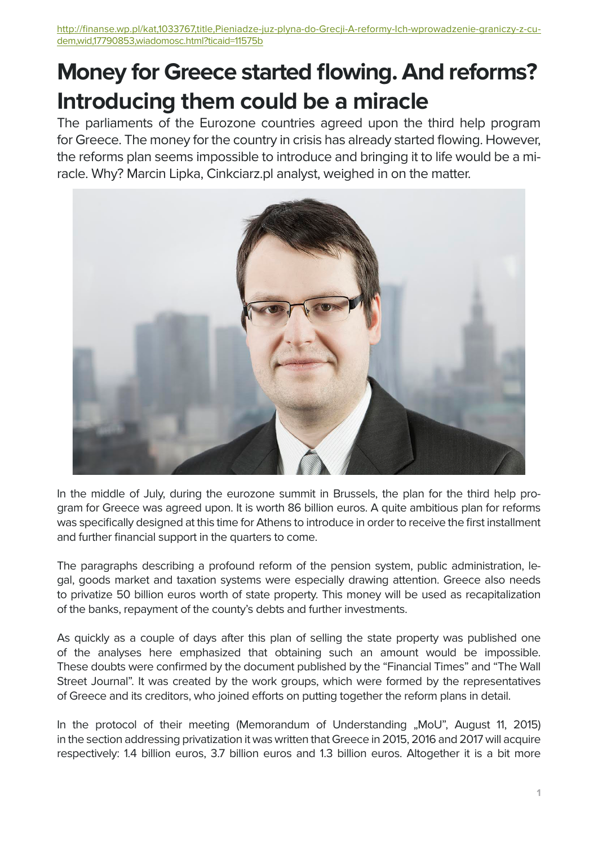## **Money for Greece started flowing. And reforms? Introducing them could be a miracle**

The parliaments of the Eurozone countries agreed upon the third help program for Greece. The money for the country in crisis has already started flowing. However, the reforms plan seems impossible to introduce and bringing it to life would be a miracle. Why? Marcin Lipka, Cinkciarz.pl analyst, weighed in on the matter.



In the middle of July, during the eurozone summit in Brussels, the plan for the third help program for Greece was agreed upon. It is worth 86 billion euros. A quite ambitious plan for reforms was specifically designed at this time for Athens to introduce in order to receive the first installment and further financial support in the quarters to come.

The paragraphs describing a profound reform of the pension system, public administration, legal, goods market and taxation systems were especially drawing attention. Greece also needs to privatize 50 billion euros worth of state property. This money will be used as recapitalization of the banks, repayment of the county's debts and further investments.

As quickly as a couple of days after this plan of selling the state property was published one of the analyses here emphasized that obtaining such an amount would be impossible. These doubts were confirmed by the document published by the "Financial Times" and "The Wall Street Journal". It was created by the work groups, which were formed by the representatives of Greece and its creditors, who joined efforts on putting together the reform plans in detail.

In the protocol of their meeting (Memorandum of Understanding "MoU", August 11, 2015) in the section addressing privatization it was written that Greece in 2015, 2016 and 2017 will acquire respectively: 1.4 billion euros, 3.7 billion euros and 1.3 billion euros. Altogether it is a bit more